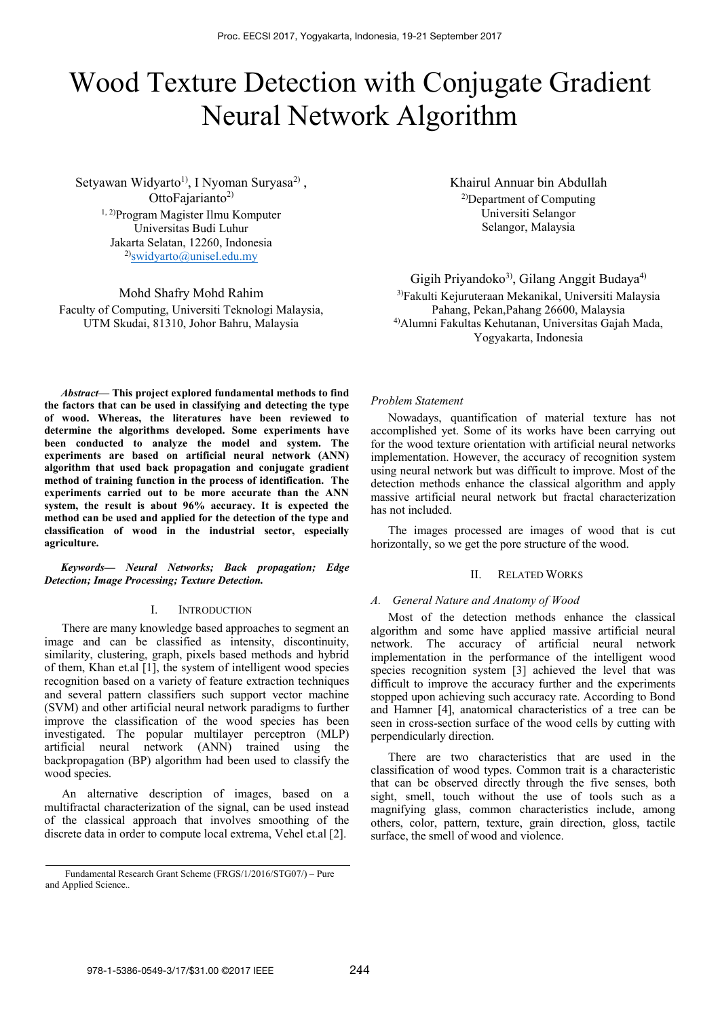# Wood Texture Detection with Conjugate Gradient Neural Network Algorithm

Setyawan Widyarto<sup>1)</sup>, I Nyoman Suryasa<sup>2)</sup>, OttoFajarianto<sup>2)</sup> 1, 2)Program Magister Ilmu Komputer Universitas Budi Luhur Jakarta Selatan, 12260, Indonesia  $^{2)}$ swidyarto@unisel.edu.my

Mohd Shafry Mohd Rahim Faculty of Computing, Universiti Teknologi Malaysia, UTM Skudai, 81310, Johor Bahru, Malaysia

Khairul Annuar bin Abdullah 2)Department of Computing Universiti Selangor Selangor, Malaysia

Gigih Priyandoko<sup>3)</sup>, Gilang Anggit Budaya<sup>4)</sup>

3)Fakulti Kejuruteraan Mekanikal, Universiti Malaysia Pahang, Pekan,Pahang 26600, Malaysia 4)Alumni Fakultas Kehutanan, Universitas Gajah Mada, Yogyakarta, Indonesia

*Abstract***— This project explored fundamental methods to find the factors that can be used in classifying and detecting the type of wood. Whereas, the literatures have been reviewed to determine the algorithms developed. Some experiments have been conducted to analyze the model and system. The experiments are based on artificial neural network (ANN) algorithm that used back propagation and conjugate gradient method of training function in the process of identification. The experiments carried out to be more accurate than the ANN system, the result is about 96% accuracy. It is expected the method can be used and applied for the detection of the type and classification of wood in the industrial sector, especially agriculture.** 

*Keywords— Neural Networks; Back propagation; Edge Detection; Image Processing; Texture Detection.* 

#### I. INTRODUCTION

There are many knowledge based approaches to segment an image and can be classified as intensity, discontinuity, similarity, clustering, graph, pixels based methods and hybrid of them, Khan et.al [1], the system of intelligent wood species recognition based on a variety of feature extraction techniques and several pattern classifiers such support vector machine (SVM) and other artificial neural network paradigms to further improve the classification of the wood species has been investigated. The popular multilayer perceptron (MLP) artificial neural network (ANN) trained using the backpropagation (BP) algorithm had been used to classify the wood species.

An alternative description of images, based on a multifractal characterization of the signal, can be used instead of the classical approach that involves smoothing of the discrete data in order to compute local extrema, Vehel et.al [2].

*Problem Statement* 

Nowadays, quantification of material texture has not accomplished yet. Some of its works have been carrying out for the wood texture orientation with artificial neural networks implementation. However, the accuracy of recognition system using neural network but was difficult to improve. Most of the detection methods enhance the classical algorithm and apply massive artificial neural network but fractal characterization has not included.

The images processed are images of wood that is cut horizontally, so we get the pore structure of the wood.

### II. RELATED WORKS

#### *A. General Nature and Anatomy of Wood*

Most of the detection methods enhance the classical algorithm and some have applied massive artificial neural network. The accuracy of artificial neural network implementation in the performance of the intelligent wood species recognition system [3] achieved the level that was difficult to improve the accuracy further and the experiments stopped upon achieving such accuracy rate. According to Bond and Hamner [4], anatomical characteristics of a tree can be seen in cross-section surface of the wood cells by cutting with perpendicularly direction.

There are two characteristics that are used in the classification of wood types. Common trait is a characteristic that can be observed directly through the five senses, both sight, smell, touch without the use of tools such as a magnifying glass, common characteristics include, among others, color, pattern, texture, grain direction, gloss, tactile surface, the smell of wood and violence.

Fundamental Research Grant Scheme (FRGS/1/2016/STG07/) – Pure and Applied Science.*.*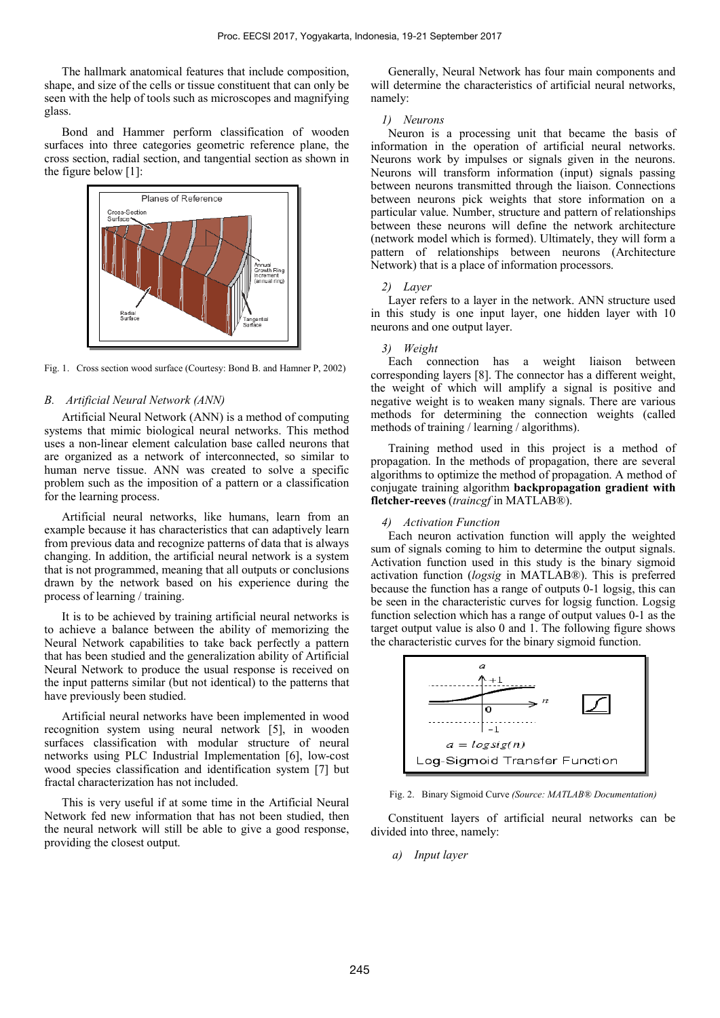The hallmark anatomical features that include composition, shape, and size of the cells or tissue constituent that can only be seen with the help of tools such as microscopes and magnifying glass.

Bond and Hammer perform classification of wooden surfaces into three categories geometric reference plane, the cross section, radial section, and tangential section as shown in the figure below [1]:



Fig. 1. Cross section wood surface (Courtesy: Bond B. and Hamner P, 2002)

#### *B. Artificial Neural Network (ANN)*

Artificial Neural Network (ANN) is a method of computing systems that mimic biological neural networks. This method uses a non-linear element calculation base called neurons that are organized as a network of interconnected, so similar to human nerve tissue. ANN was created to solve a specific problem such as the imposition of a pattern or a classification for the learning process.

Artificial neural networks, like humans, learn from an example because it has characteristics that can adaptively learn from previous data and recognize patterns of data that is always changing. In addition, the artificial neural network is a system that is not programmed, meaning that all outputs or conclusions drawn by the network based on his experience during the process of learning / training.

It is to be achieved by training artificial neural networks is to achieve a balance between the ability of memorizing the Neural Network capabilities to take back perfectly a pattern that has been studied and the generalization ability of Artificial Neural Network to produce the usual response is received on the input patterns similar (but not identical) to the patterns that have previously been studied.

Artificial neural networks have been implemented in wood recognition system using neural network [5], in wooden surfaces classification with modular structure of neural networks using PLC Industrial Implementation [6], low-cost wood species classification and identification system [7] but fractal characterization has not included.

This is very useful if at some time in the Artificial Neural Network fed new information that has not been studied, then the neural network will still be able to give a good response, providing the closest output.

Generally, Neural Network has four main components and will determine the characteristics of artificial neural networks, namely:

#### *1) Neurons*

Neuron is a processing unit that became the basis of information in the operation of artificial neural networks. Neurons work by impulses or signals given in the neurons. Neurons will transform information (input) signals passing between neurons transmitted through the liaison. Connections between neurons pick weights that store information on a particular value. Number, structure and pattern of relationships between these neurons will define the network architecture (network model which is formed). Ultimately, they will form a pattern of relationships between neurons (Architecture Network) that is a place of information processors.

#### *2) Layer*

Layer refers to a layer in the network. ANN structure used in this study is one input layer, one hidden layer with 10 neurons and one output layer.

#### *3) Weight*

Each connection has a weight liaison between corresponding layers [8]. The connector has a different weight, the weight of which will amplify a signal is positive and negative weight is to weaken many signals. There are various methods for determining the connection weights (called methods of training / learning / algorithms).

Training method used in this project is a method of propagation. In the methods of propagation, there are several algorithms to optimize the method of propagation. A method of conjugate training algorithm **backpropagation gradient with fletcher-reeves** (*traincgf* in MATLAB®).

#### *4) Activation Function*

Each neuron activation function will apply the weighted sum of signals coming to him to determine the output signals. Activation function used in this study is the binary sigmoid activation function (*logsig* in MATLAB®). This is preferred because the function has a range of outputs 0-1 logsig, this can be seen in the characteristic curves for logsig function. Logsig function selection which has a range of output values 0-1 as the target output value is also 0 and 1. The following figure shows the characteristic curves for the binary sigmoid function.



Fig. 2. Binary Sigmoid Curve *(Source: MATLAB® Documentation)*

Constituent layers of artificial neural networks can be divided into three, namely:

*a) Input layer*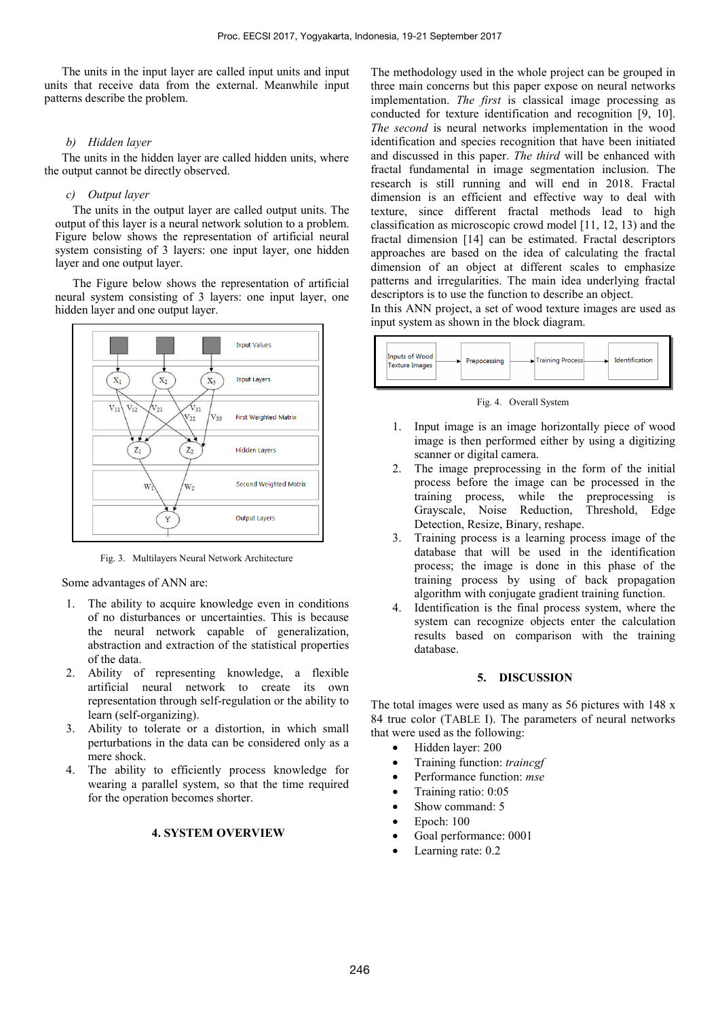The units in the input layer are called input units and input units that receive data from the external. Meanwhile input patterns describe the problem.

## *b) Hidden layer*

The units in the hidden layer are called hidden units, where the output cannot be directly observed.

## *c) Output layer*

The units in the output layer are called output units. The output of this layer is a neural network solution to a problem. Figure below shows the representation of artificial neural system consisting of 3 layers: one input layer, one hidden layer and one output layer.

The Figure below shows the representation of artificial neural system consisting of 3 layers: one input layer, one hidden layer and one output layer.



Fig. 3. Multilayers Neural Network Architecture

Some advantages of ANN are:

- 1. The ability to acquire knowledge even in conditions of no disturbances or uncertainties. This is because the neural network capable of generalization, abstraction and extraction of the statistical properties of the data.
- 2. Ability of representing knowledge, a flexible artificial neural network to create its own representation through self-regulation or the ability to learn (self-organizing).
- 3. Ability to tolerate or a distortion, in which small perturbations in the data can be considered only as a mere shock.
- 4. The ability to efficiently process knowledge for wearing a parallel system, so that the time required for the operation becomes shorter.

## **4. SYSTEM OVERVIEW**

The methodology used in the whole project can be grouped in three main concerns but this paper expose on neural networks implementation. *The first* is classical image processing as conducted for texture identification and recognition [9, 10]. *The second* is neural networks implementation in the wood identification and species recognition that have been initiated and discussed in this paper. *The third* will be enhanced with fractal fundamental in image segmentation inclusion. The research is still running and will end in 2018. Fractal dimension is an efficient and effective way to deal with texture, since different fractal methods lead to high classification as microscopic crowd model [11, 12, 13) and the fractal dimension [14] can be estimated. Fractal descriptors approaches are based on the idea of calculating the fractal dimension of an object at different scales to emphasize patterns and irregularities. The main idea underlying fractal descriptors is to use the function to describe an object.

In this ANN project, a set of wood texture images are used as input system as shown in the block diagram.



Fig. 4. Overall System

- 1. Input image is an image horizontally piece of wood image is then performed either by using a digitizing scanner or digital camera.
- 2. The image preprocessing in the form of the initial process before the image can be processed in the training process, while the preprocessing is Grayscale, Noise Reduction, Threshold, Edge Detection, Resize, Binary, reshape.
- 3. Training process is a learning process image of the database that will be used in the identification process; the image is done in this phase of the training process by using of back propagation algorithm with conjugate gradient training function.
- Identification is the final process system, where the system can recognize objects enter the calculation results based on comparison with the training database.

## **5. DISCUSSION**

The total images were used as many as 56 pictures with 148 x 84 true color (TABLE I). The parameters of neural networks that were used as the following:

- Hidden layer: 200
- Training function: *traincgf*
- Performance function: *mse*
- Training ratio: 0:05
- Show command: 5
- Epoch: 100
- Goal performance: 0001
- Learning rate: 0.2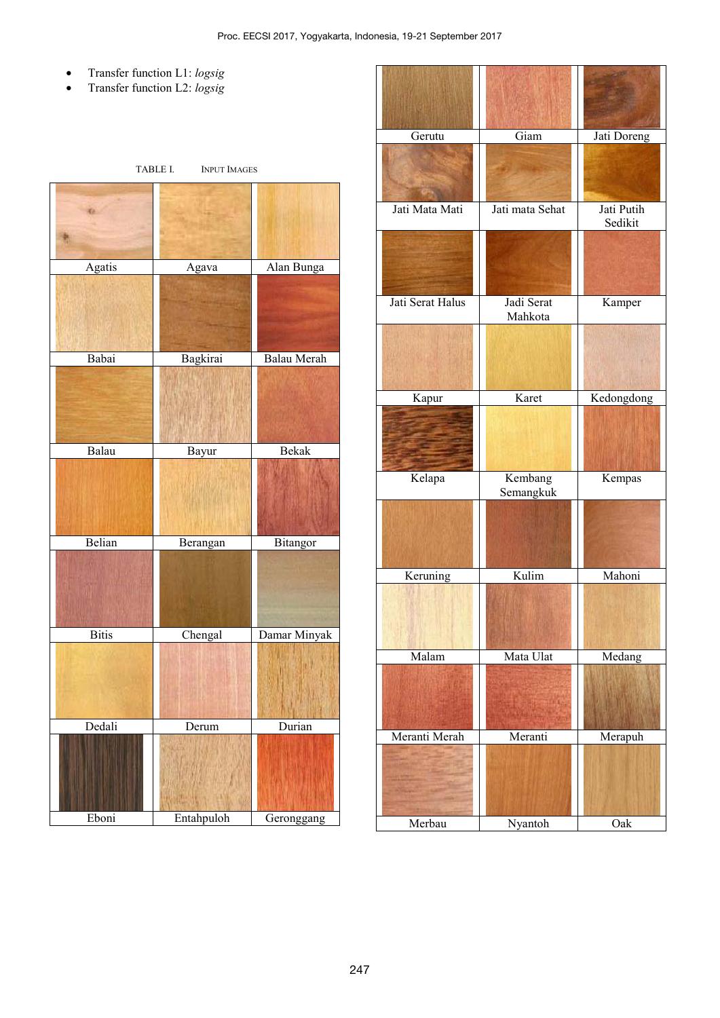- Transfer function L1: *logsig*
- Transfer function L2: *logsig*

| TABLE I.<br><b>INPUT IMAGES</b> |            |              |  |  |  |  |  |
|---------------------------------|------------|--------------|--|--|--|--|--|
|                                 |            |              |  |  |  |  |  |
| Agatis                          | Agava      | Alan Bunga   |  |  |  |  |  |
|                                 |            |              |  |  |  |  |  |
| Babai                           | Bagkirai   | Balau Merah  |  |  |  |  |  |
|                                 |            |              |  |  |  |  |  |
| Balau                           | Bayur      | Bekak        |  |  |  |  |  |
|                                 |            |              |  |  |  |  |  |
| Belian                          | Berangan   | Bitangor     |  |  |  |  |  |
|                                 |            |              |  |  |  |  |  |
| <b>Bitis</b>                    | Chengal    | Damar Minyak |  |  |  |  |  |
|                                 |            |              |  |  |  |  |  |
| Dedali                          | Derum      | Durian       |  |  |  |  |  |
|                                 |            |              |  |  |  |  |  |
| Eboni                           | Entahpuloh | Geronggang   |  |  |  |  |  |

| Gerutu           | Giam                  | Jati Doreng           |  |
|------------------|-----------------------|-----------------------|--|
|                  |                       |                       |  |
| Jati Mata Mati   | Jati mata Sehat       | Jati Putih<br>Sedikit |  |
|                  |                       |                       |  |
| Jati Serat Halus | Jadi Serat<br>Mahkota | Kamper                |  |
|                  |                       |                       |  |
| Kapur            | Karet                 | Kedongdong            |  |
|                  |                       |                       |  |
| Kelapa           | Kembang<br>Semangkuk  | Kempas                |  |
|                  |                       |                       |  |
| Keruning         | Kulim                 | Mahoni                |  |
|                  |                       |                       |  |
| Malam            | Mata Ulat             | Medang                |  |
|                  |                       |                       |  |
| Meranti Merah    | Meranti               | Merapuh               |  |
|                  |                       |                       |  |
| Merbau           | Nyantoh               | Oak                   |  |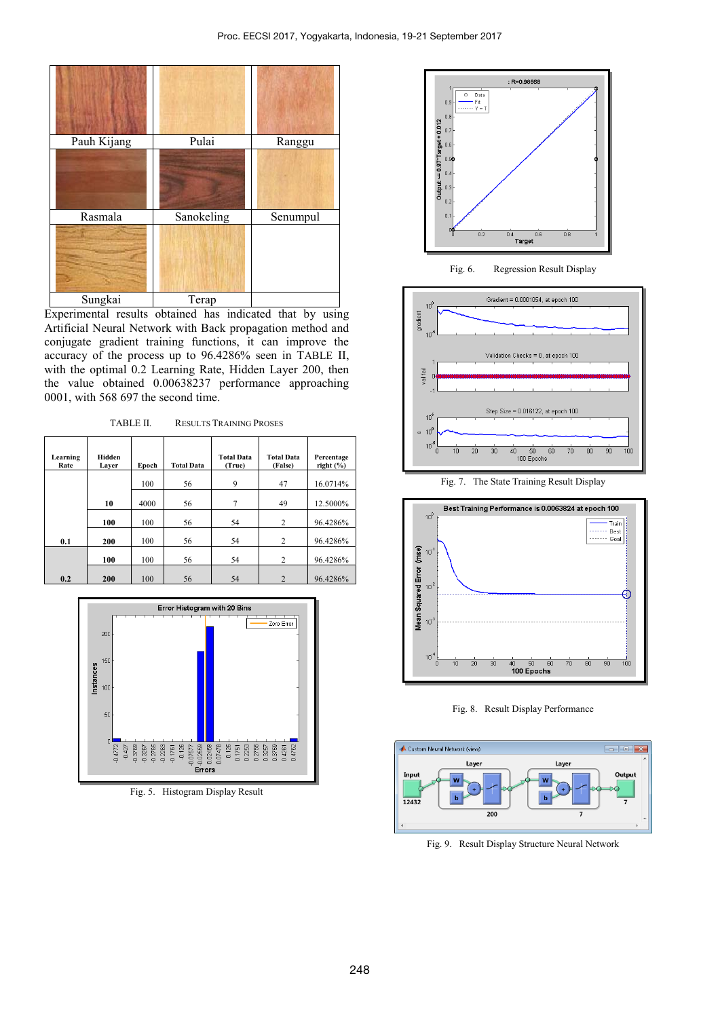

Experimental results obtained has indicated that by using Artificial Neural Network with Back propagation method and conjugate gradient training functions, it can improve the accuracy of the process up to 96.4286% seen in TABLE II, with the optimal 0.2 Learning Rate, Hidden Layer 200, then the value obtained 0.00638237 performance approaching 0001, with 568 697 the second time.

TABLE II. RESULTS TRAINING PROSES

| Learning<br>Rate | Hidden<br>Layer | Epoch | <b>Total Data</b> | <b>Total Data</b><br>(True) | <b>Total Data</b><br>(False) | Percentage<br>right $(\% )$ |
|------------------|-----------------|-------|-------------------|-----------------------------|------------------------------|-----------------------------|
|                  |                 | 100   | 56                | 9                           | 47                           | 16.0714%                    |
|                  | 10              | 4000  | 56                | 7                           | 49                           | 12.5000%                    |
|                  | 100             | 100   | 56                | 54                          | 2                            | 96.4286%                    |
| 0.1              | 200             | 100   | 56                | 54                          | 2                            | 96.4286%                    |
|                  | 100             | 100   | 56                | 54                          | 2                            | 96.4286%                    |
| 0.2              | 200             | 100   | 56                | 54                          | 2                            | 96.4286%                    |



Fig. 5. Histogram Display Result



Fig. 6. Regression Result Display



Fig. 7. The State Training Result Display



Fig. 8. Result Display Performance



Fig. 9. Result Display Structure Neural Network